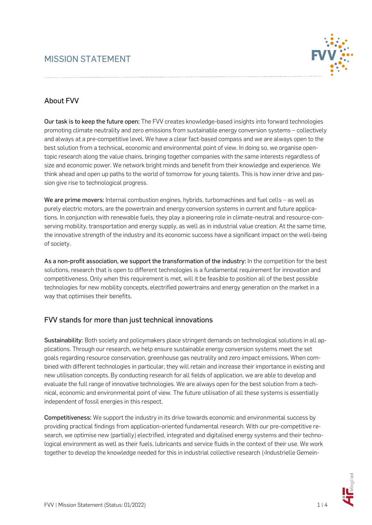

### About FVV

Our task is to keep the future open: The FVV creates knowledge-based insights into forward technologies promoting climate neutrality and zero emissions from sustainable energy conversion systems – collectively and always at a pre-competitive level. We have a clear fact-based compass and we are always open to the best solution from a technical, economic and environmental point of view. In doing so, we organise opentopic research along the value chains, bringing together companies with the same interests regardless of size and economic power. We network bright minds and benefit from their knowledge and experience. We think ahead and open up paths to the world of tomorrow for young talents. This is how inner drive and passion give rise to technological progress.

We are prime movers: Internal combustion engines, hybrids, turbomachines and fuel cells – as well as purely electric motors, are the powertrain and energy conversion systems in current and future applications. In conjunction with renewable fuels, they play a pioneering role in climate-neutral and resource-conserving mobility, transportation and energy supply, as well as in industrial value creation. At the same time, the innovative strength of the industry and its economic success have a significant impact on the well-being of society.

As a non-profit association, we support the transformation of the industry: In the competition for the best solutions, research that is open to different technologies is a fundamental requirement for innovation and competitiveness. Only when this requirement is met, will it be feasible to position all of the best possible technologies for new mobility concepts, electrified powertrains and energy generation on the market in a way that optimises their benefits.

#### FVV stands for more than just technical innovations

Sustainability: Both society and policymakers place stringent demands on technological solutions in all applications. Through our research, we help ensure sustainable energy conversion systems meet the set goals regarding resource conservation, greenhouse gas neutrality and zero impact emissions. When combined with different technologies in particular, they will retain and increase their importance in existing and new utilisation concepts. By conducting research for all fields of application, we are able to develop and evaluate the full range of innovative technologies. We are always open for the best solution from a technical, economic and environmental point of view. The future utilisation of all these systems is essentially independent of fossil energies in this respect.

Competitiveness: We support the industry in its drive towards economic and environmental success by providing practical findings from application-oriented fundamental research. With our pre-competitive research, we optimise new (partially) electrified, integrated and digitalised energy systems and their technological environment as well as their fuels, lubricants and service fluids in the context of their use. We work together to develop the knowledge needed for this in industrial collective research (>Industrielle Gemein-

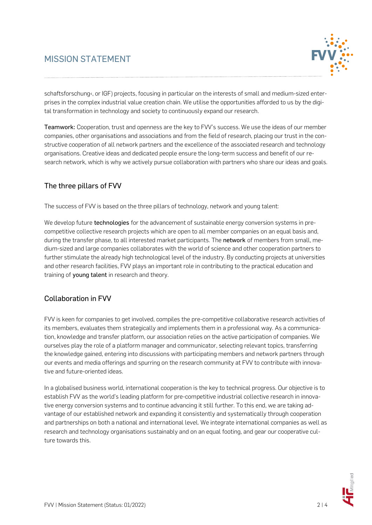

schaftsforschung«, or IGF) projects, focusing in particular on the interests of small and medium-sized enterprises in the complex industrial value creation chain. We utilise the opportunities afforded to us by the digital transformation in technology and society to continuously expand our research.

Teamwork: Cooperation, trust and openness are the key to FVV's success. We use the ideas of our member companies, other organisations and associations and from the field of research, placing our trust in the constructive cooperation of all network partners and the excellence of the associated research and technology organisations. Creative ideas and dedicated people ensure the long-term success and benefit of our research network, which is why we actively pursue collaboration with partners who share our ideas and goals.

### The three pillars of FVV

The success of FVV is based on the three pillars of technology, network and young talent:

We develop future technologies for the advancement of sustainable energy conversion systems in precompetitive collective research projects which are open to all member companies on an equal basis and, during the transfer phase, to all interested market participants. The network of members from small, medium-sized and large companies collaborates with the world of science and other cooperation partners to further stimulate the already high technological level of the industry. By conducting projects at universities and other research facilities, FVV plays an important role in contributing to the practical education and training of young talent in research and theory.

#### Collaboration in FVV

FVV is keen for companies to get involved, compiles the pre-competitive collaborative research activities of its members, evaluates them strategically and implements them in a professional way. As a communication, knowledge and transfer platform, our association relies on the active participation of companies. We ourselves play the role of a platform manager and communicator, selecting relevant topics, transferring the knowledge gained, entering into discussions with participating members and network partners through our events and media offerings and spurring on the research community at FVV to contribute with innovative and future-oriented ideas.

In a globalised business world, international cooperation is the key to technical progress. Our objective is to establish FVV as the world's leading platform for pre-competitive industrial collective research in innovative energy conversion systems and to continue advancing it still further. To this end, we are taking advantage of our established network and expanding it consistently and systematically through cooperation and partnerships on both a national and international level. We integrate international companies as well as research and technology organisations sustainably and on an equal footing, and gear our cooperative culture towards this.

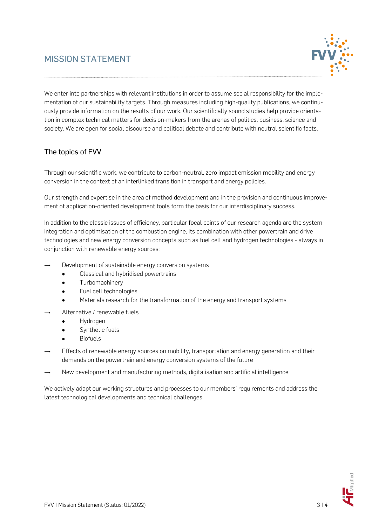

We enter into partnerships with relevant institutions in order to assume social responsibility for the implementation of our sustainability targets. Through measures including high-quality publications, we continuously provide information on the results of our work. Our scientifically sound studies help provide orientation in complex technical matters for decision-makers from the arenas of politics, business, science and society. We are open for social discourse and political debate and contribute with neutral scientific facts.

### The topics of FVV

Through our scientific work, we contribute to carbon-neutral, zero impact emission mobility and energy conversion in the context of an interlinked transition in transport and energy policies.

Our strength and expertise in the area of method development and in the provision and continuous improvement of application-oriented development tools form the basis for our interdisciplinary success.

In addition to the classic issues of efficiency, particular focal points of our research agenda are the system integration and optimisation of the combustion engine, its combination with other powertrain and drive technologies and new energy conversion concepts such as fuel cell and hydrogen technologies - always in conjunction with renewable energy sources:

- Development of sustainable energy conversion systems
	- Classical and hybridised powertrains
	- **Turbomachinery**
	- Fuel cell technologies
	- Materials research for the transformation of the energy and transport systems
- Alternative / renewable fuels
	- Hydrogen
	- Synthetic fuels
	- Biofuels
- **→** Effects of renewable energy sources on mobility, transportation and energy generation and their demands on the powertrain and energy conversion systems of the future
- **→** New development and manufacturing methods, digitalisation and artificial intelligence

We actively adapt our working structures and processes to our members' requirements and address the latest technological developments and technical challenges.